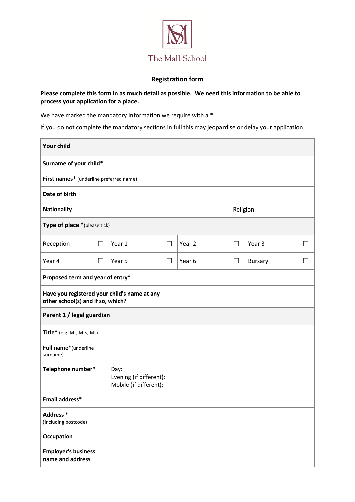

# **Registration form**

# **Please complete this form in as much detail as possible. We need this information to be able to process your application for a place.**

We have marked the mandatory information we require with a  $*$ 

If you do not complete the mandatory sections in full this may jeopardise or delay your application.

| <b>Your child</b>                                                                 |                                                           |        |        |          |                |        |
|-----------------------------------------------------------------------------------|-----------------------------------------------------------|--------|--------|----------|----------------|--------|
| Surname of your child*                                                            |                                                           |        |        |          |                |        |
| First names* (underline preferred name)                                           |                                                           |        |        |          |                |        |
| Date of birth                                                                     |                                                           |        |        |          |                |        |
| <b>Nationality</b>                                                                |                                                           |        |        | Religion |                |        |
| Type of place *(please tick)                                                      |                                                           |        |        |          |                |        |
| Reception<br>$\Box$                                                               | Year 1                                                    | $\Box$ | Year 2 | $\Box$   | Year 3         | $\Box$ |
| Year 4<br>$\Box$                                                                  | Year 5                                                    | $\Box$ | Year 6 | $\Box$   | <b>Bursary</b> | $\Box$ |
| Proposed term and year of entry*                                                  |                                                           |        |        |          |                |        |
| Have you registered your child's name at any<br>other school(s) and if so, which? |                                                           |        |        |          |                |        |
| Parent 1 / legal guardian                                                         |                                                           |        |        |          |                |        |
| Title* (e.g. Mr, Mrs, Ms)                                                         |                                                           |        |        |          |                |        |
| Full name*(underline<br>surname)                                                  |                                                           |        |        |          |                |        |
| Telephone number*                                                                 | Day:<br>Evening (if different):<br>Mobile (if different): |        |        |          |                |        |
| Email address*                                                                    |                                                           |        |        |          |                |        |
| Address <sup>*</sup><br>(including postcode)                                      |                                                           |        |        |          |                |        |
| Occupation                                                                        |                                                           |        |        |          |                |        |
| <b>Employer's business</b><br>name and address                                    |                                                           |        |        |          |                |        |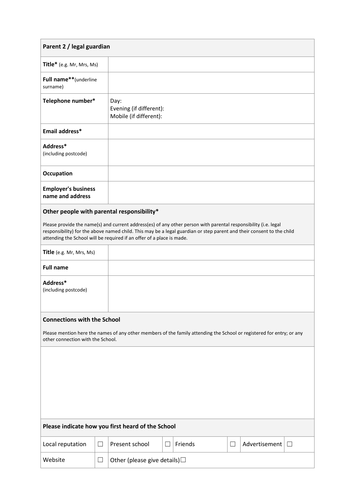| Parent 2 / legal guardian                                                                                                                                                                                                                                                                                         |        |                                                           |        |         |        |                          |
|-------------------------------------------------------------------------------------------------------------------------------------------------------------------------------------------------------------------------------------------------------------------------------------------------------------------|--------|-----------------------------------------------------------|--------|---------|--------|--------------------------|
| Title* (e.g. Mr, Mrs, Ms)                                                                                                                                                                                                                                                                                         |        |                                                           |        |         |        |                          |
| Full name**(underline<br>surname)                                                                                                                                                                                                                                                                                 |        |                                                           |        |         |        |                          |
| Telephone number*                                                                                                                                                                                                                                                                                                 |        | Day:<br>Evening (if different):<br>Mobile (if different): |        |         |        |                          |
| Email address*                                                                                                                                                                                                                                                                                                    |        |                                                           |        |         |        |                          |
| Address*<br>(including postcode)                                                                                                                                                                                                                                                                                  |        |                                                           |        |         |        |                          |
| Occupation                                                                                                                                                                                                                                                                                                        |        |                                                           |        |         |        |                          |
| <b>Employer's business</b><br>name and address                                                                                                                                                                                                                                                                    |        |                                                           |        |         |        |                          |
| Other people with parental responsibility*                                                                                                                                                                                                                                                                        |        |                                                           |        |         |        |                          |
| Please provide the name(s) and current address(es) of any other person with parental responsibility (i.e. legal<br>responsibility) for the above named child. This may be a legal guardian or step parent and their consent to the child<br>attending the School will be required if an offer of a place is made. |        |                                                           |        |         |        |                          |
| Title (e.g. Mr, Mrs, Ms)                                                                                                                                                                                                                                                                                          |        |                                                           |        |         |        |                          |
| <b>Full name</b>                                                                                                                                                                                                                                                                                                  |        |                                                           |        |         |        |                          |
| Address*<br>(including postcode)                                                                                                                                                                                                                                                                                  |        |                                                           |        |         |        |                          |
| <b>Connections with the School</b>                                                                                                                                                                                                                                                                                |        |                                                           |        |         |        |                          |
| Please mention here the names of any other members of the family attending the School or registered for entry; or any<br>other connection with the School.                                                                                                                                                        |        |                                                           |        |         |        |                          |
|                                                                                                                                                                                                                                                                                                                   |        |                                                           |        |         |        |                          |
| Please indicate how you first heard of the School                                                                                                                                                                                                                                                                 |        |                                                           |        |         |        |                          |
| Local reputation                                                                                                                                                                                                                                                                                                  | $\Box$ | Present school                                            | $\Box$ | Friends | $\Box$ | Advertisement<br>$\perp$ |
| Website                                                                                                                                                                                                                                                                                                           | $\Box$ | Other (please give details) $\square$                     |        |         |        |                          |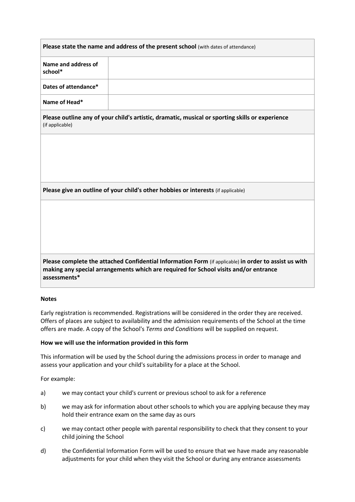| Please state the name and address of the present school (with dates of attendance) |  |  |  |  |
|------------------------------------------------------------------------------------|--|--|--|--|
| Name and address of<br>school*                                                     |  |  |  |  |
| Dates of attendance*                                                               |  |  |  |  |
| Name of Head*                                                                      |  |  |  |  |

**Please outline any of your child's artistic, dramatic, musical or sporting skills or experience** (if applicable)

**Please give an outline of your child's other hobbies or interests** (if applicable)

**Please complete the attached Confidential Information Form** (if applicable) **in order to assist us with making any special arrangements which are required for School visits and/or entrance assessments\***

### **Notes**

Early registration is recommended. Registrations will be considered in the order they are received. Offers of places are subject to availability and the admission requirements of the School at the time offers are made. A copy of the School's *Terms and Conditions* will be supplied on request.

### **How we will use the information provided in this form**

This information will be used by the School during the admissions process in order to manage and assess your application and your child's suitability for a place at the School.

For example:

- a) we may contact your child's current or previous school to ask for a reference
- b) we may ask for information about other schools to which you are applying because they may hold their entrance exam on the same day as ours
- c) we may contact other people with parental responsibility to check that they consent to your child joining the School
- d) the Confidential Information Form will be used to ensure that we have made any reasonable adjustments for your child when they visit the School or during any entrance assessments